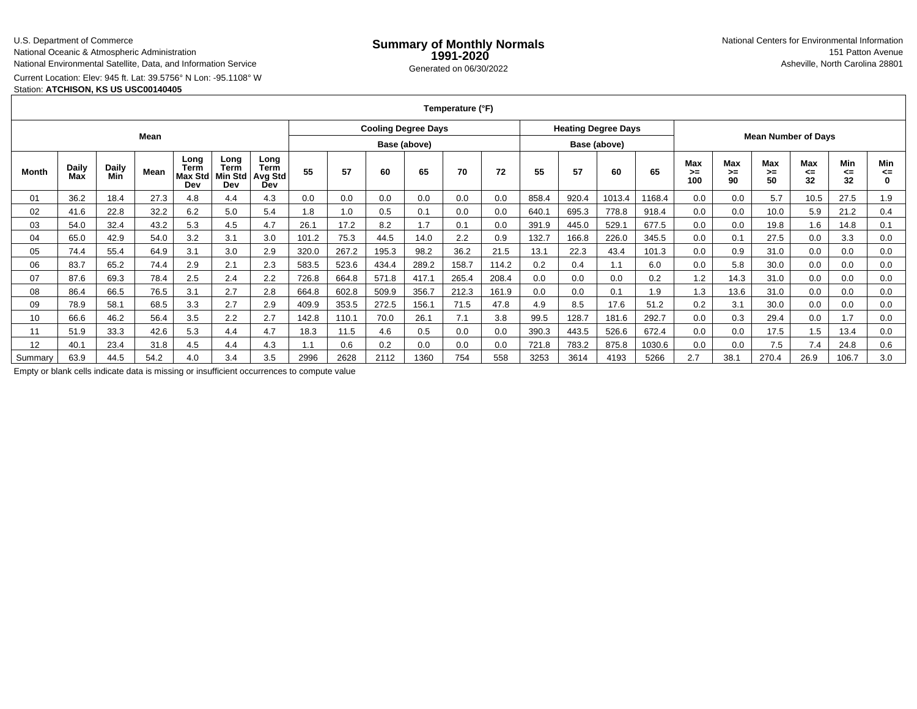### U.S. Department of Commerce

National Oceanic & Atmospheric Administration

National Environmental Satellite, Data, and Information Service

Current Location: Elev: 945 ft. Lat: 39.5756° N Lon: -95.1108° W

## Station: **ATCHISON, KS US USC00140405**

**Temperature (°F)**

| Mean    |                     |              |      |                                |                                 |                                | <b>Cooling Degree Days</b> |       |       |       |       | <b>Heating Degree Days</b> |       |       |        | <b>Mean Number of Days</b> |                  |                 |                        |                        |                 |           |
|---------|---------------------|--------------|------|--------------------------------|---------------------------------|--------------------------------|----------------------------|-------|-------|-------|-------|----------------------------|-------|-------|--------|----------------------------|------------------|-----------------|------------------------|------------------------|-----------------|-----------|
|         |                     |              |      |                                |                                 |                                | Base (above)               |       |       |       |       | Base (above)               |       |       |        |                            |                  |                 |                        |                        |                 |           |
| Month   | <b>Daily</b><br>Max | Daily<br>Min | Mean | Long<br>Term<br>Max Std<br>Dev | Long<br>Term<br>Viin Std<br>Dev | Long<br>Term<br>Avg Std<br>Dev | 55                         | 57    | 60    | 65    | 70    | 72                         | 55    | 57    | 60     | 65                         | Max<br>>≕<br>100 | Max<br>>=<br>90 | <b>Max</b><br>≻=<br>50 | <b>Max</b><br><=<br>32 | Min<br><=<br>32 | Min<br><= |
| 01      | 36.2                | 18.4         | 27.3 | 4.8                            | 4.4                             | 4.3                            | 0.0                        | 0.0   | 0.0   | 0.0   | 0.0   | 0.0                        | 858.4 | 920.4 | 1013.4 | 1168.4                     | 0.0              | 0.0             | 5.7                    | 10.5                   | 27.5            | 1.9       |
| 02      | 41.6                | 22.8         | 32.2 | 6.2                            | 5.0                             | 5.4                            | 1.8                        | 1.0   | 0.5   | 0.1   | 0.0   | 0.0                        | 640.  | 695.3 | 778.8  | 918.4                      | 0.0              | 0.0             | 10.0                   | 5.9                    | 21.2            | 0.4       |
| 03      | 54.0                | 32.4         | 43.2 | 5.3                            | 4.5                             | 4.7                            | 26.1                       | 17.2  | 8.2   | 1.7   | 0.1   | 0.0                        | 391.9 | 445.0 | 529.1  | 677.5                      | 0.0              | 0.0             | 19.8                   | 1.6                    | 14.8            | 0.1       |
| 04      | 65.0                | 42.9         | 54.0 | 3.2                            | 3.1                             | 3.0                            | 101.2                      | 75.3  | 44.5  | 14.0  | 2.2   | 0.9                        | 132.7 | 166.8 | 226.0  | 345.5                      | 0.0              | 0.1             | 27.5                   | 0.0                    | 3.3             | 0.0       |
| 05      | 74.4                | 55.4         | 64.9 | 3.1                            | 3.0                             | 2.9                            | 320.0                      | 267.2 | 195.3 | 98.2  | 36.2  | 21.5                       | 13.1  | 22.3  | 43.4   | 101.3                      | 0.0              | 0.9             | 31.0                   | 0.0                    | 0.0             | 0.0       |
| 06      | 83.7                | 65.2         | 74.4 | 2.9                            | 2.1                             | 2.3                            | 583.5                      | 523.6 | 434.4 | 289.2 | 158.7 | 114.2                      | 0.2   | 0.4   | 1.1    | 6.0                        | 0.0              | 5.8             | 30.0                   | 0.0                    | 0.0             | 0.0       |
| 07      | 87.6                | 69.3         | 78.4 | 2.5                            | 2.4                             | 2.2                            | 726.8                      | 664.8 | 571.8 | 417.1 | 265.4 | 208.4                      | 0.0   | 0.0   | 0.0    | 0.2                        | 1.2              | 14.3            | 31.0                   | 0.0                    | 0.0             | 0.0       |
| 08      | 86.4                | 66.5         | 76.5 | 3.1                            | 2.7                             | 2.8                            | 664.8                      | 602.8 | 509.9 | 356.7 | 212.3 | 161.9                      | 0.0   | 0.0   | 0.1    | 1.9                        | 1.3              | 13.6            | 31.0                   | 0.0                    | 0.0             | 0.0       |
| 09      | 78.9                | 58.1         | 68.5 | 3.3                            | 2.7                             | 2.9                            | 409.9                      | 353.5 | 272.5 | 156.1 | 71.5  | 47.8                       | 4.9   | 8.5   | 17.6   | 51.2                       | 0.2              | 3.1             | 30.0                   | 0.0                    | 0.0             | 0.0       |
| 10      | 66.6                | 46.2         | 56.4 | 3.5                            | 2.2                             | 2.7                            | 142.8                      | 110.1 | 70.0  | 26.1  | 7.1   | 3.8                        | 99.5  | 128.7 | 181.6  | 292.7                      | 0.0              | 0.3             | 29.4                   | 0.0                    | 1.7             | 0.0       |
| 11      | 51.9                | 33.3         | 42.6 | 5.3                            | 4.4                             | 4.7                            | 18.3                       | 11.5  | 4.6   | 0.5   | 0.0   | 0.0                        | 390.3 | 443.5 | 526.6  | 672.4                      | 0.0              | 0.0             | 17.5                   | 1.5                    | 13.4            | 0.0       |
| 12      | 40.1                | 23.4         | 31.8 | 4.5                            | 4.4                             | 4.3                            | 1.1                        | 0.6   | 0.2   | 0.0   | 0.0   | 0.0                        | 721.8 | 783.2 | 875.8  | 1030.6                     | 0.0              | 0.0             | 7.5                    | 7.4                    | 24.8            | 0.6       |
| Summary | 63.9                | 44.5         | 54.2 | 4.0                            | 3.4                             | 3.5                            | 2996                       | 2628  | 2112  | 1360  | 754   | 558                        | 3253  | 3614  | 4193   | 5266                       | 2.7              | 38.1            | 270.4                  | 26.9                   | 106.7           | 3.0       |

Empty or blank cells indicate data is missing or insufficient occurrences to compute value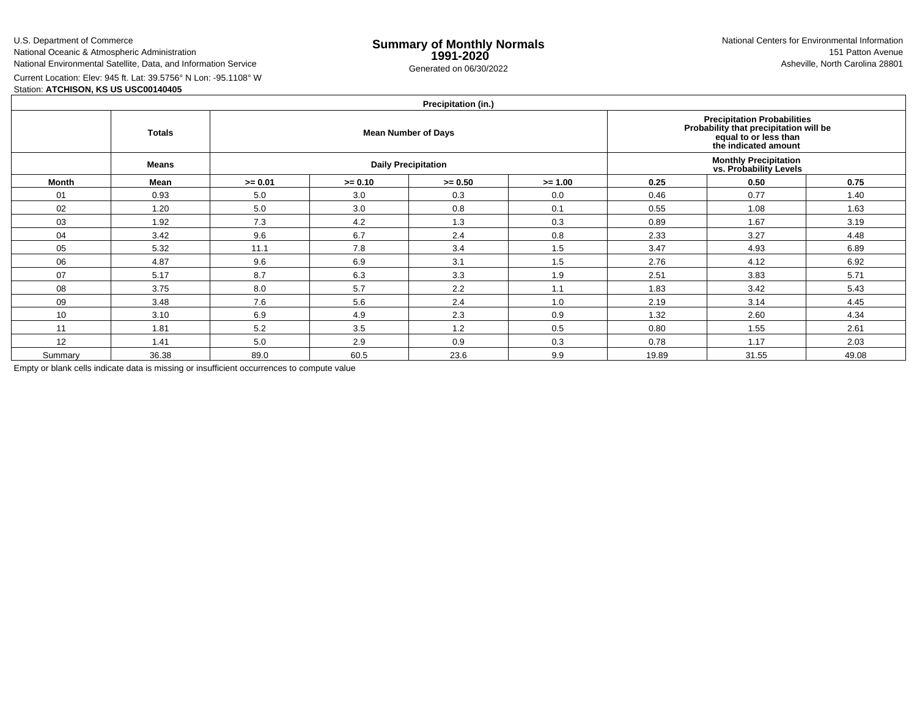U.S. Department of Commerce

National Oceanic & Atmospheric Administration

National Environmental Satellite, Data, and Information Service

Current Location: Elev: 945 ft. Lat: 39.5756° N Lon: -95.1108° WStation: **ATCHISON, KS US USC00140405**

**Precipitation (in.)**

|         | Precipitation (in.) |           |           |                            |                                                                                                                        |       |       |       |  |  |  |  |  |  |
|---------|---------------------|-----------|-----------|----------------------------|------------------------------------------------------------------------------------------------------------------------|-------|-------|-------|--|--|--|--|--|--|
|         | <b>Totals</b>       |           |           | <b>Mean Number of Days</b> | Precipitation Probabilities<br>Probability that precipitation will be<br>equal to or less than<br>the indicated amount |       |       |       |  |  |  |  |  |  |
|         | <b>Means</b>        |           |           | <b>Daily Precipitation</b> | <b>Monthly Precipitation<br/>vs. Probability Levels</b>                                                                |       |       |       |  |  |  |  |  |  |
| Month   | Mean                | $>= 0.01$ | $>= 0.10$ | $>= 0.50$                  | $>= 1.00$                                                                                                              | 0.25  | 0.50  | 0.75  |  |  |  |  |  |  |
| 01      | 0.93                | 5.0       | 3.0       | 0.3                        | 0.0                                                                                                                    | 0.46  | 0.77  | 1.40  |  |  |  |  |  |  |
| 02      | 1.20                | 5.0       | 3.0       | 0.8                        | 0.1                                                                                                                    | 0.55  | 1.08  | 1.63  |  |  |  |  |  |  |
| 03      | 1.92                | 7.3       | 4.2       | 1.3                        | 0.3                                                                                                                    | 0.89  | 1.67  | 3.19  |  |  |  |  |  |  |
| 04      | 3.42                | 9.6       | 6.7       | 2.4                        | 0.8                                                                                                                    | 2.33  | 3.27  | 4.48  |  |  |  |  |  |  |
| 05      | 5.32                | 11.1      | 7.8       | 3.4                        | 1.5                                                                                                                    | 3.47  | 4.93  | 6.89  |  |  |  |  |  |  |
| 06      | 4.87                | 9.6       | 6.9       | 3.1                        | 1.5                                                                                                                    | 2.76  | 4.12  | 6.92  |  |  |  |  |  |  |
| 07      | 5.17                | 8.7       | 6.3       | 3.3                        | 1.9                                                                                                                    | 2.51  | 3.83  | 5.71  |  |  |  |  |  |  |
| 08      | 3.75                | 8.0       | 5.7       | 2.2                        | 1.1                                                                                                                    | 1.83  | 3.42  | 5.43  |  |  |  |  |  |  |
| 09      | 3.48                | 7.6       | 5.6       | 2.4                        | 1.0                                                                                                                    | 2.19  | 3.14  | 4.45  |  |  |  |  |  |  |
| 10      | 3.10                | 6.9       | 4.9       | 2.3                        | 0.9                                                                                                                    | 1.32  | 2.60  | 4.34  |  |  |  |  |  |  |
| 11      | 1.81                | 5.2       | 3.5       | 1.2                        | 0.5                                                                                                                    | 0.80  | 1.55  | 2.61  |  |  |  |  |  |  |
| 12      | 1.41                | 5.0       | 2.9       | 0.9                        | 0.3                                                                                                                    | 0.78  | 1.17  | 2.03  |  |  |  |  |  |  |
| Summary | 36.38               | 89.0      | 60.5      | 23.6                       | 9.9                                                                                                                    | 19.89 | 31.55 | 49.08 |  |  |  |  |  |  |

Empty or blank cells indicate data is missing or insufficient occurrences to compute value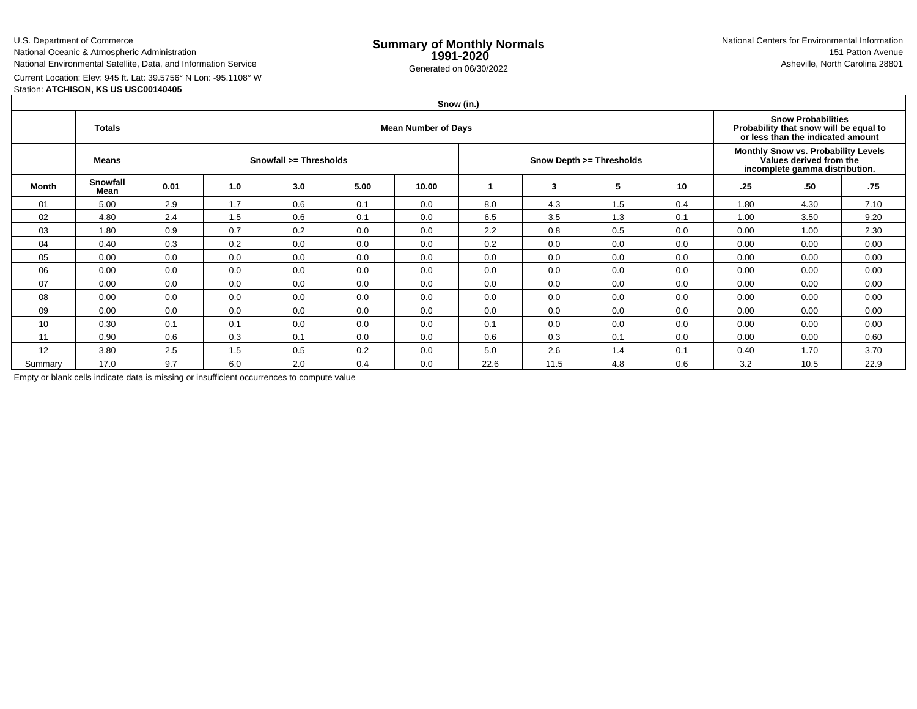## U.S. Department of Commerce

National Oceanic & Atmospheric Administration

# National Environmental Satellite, Data, and Information Service

Current Location: Elev: 945 ft. Lat: 39.5756° N Lon: -95.1108° W

# Station: **ATCHISON, KS US USC00140405**

|         | Snow (in.)       |                            |     |     |      |       |      |      |                          |     |                                                                                                  |                                                                                                          |      |  |  |
|---------|------------------|----------------------------|-----|-----|------|-------|------|------|--------------------------|-----|--------------------------------------------------------------------------------------------------|----------------------------------------------------------------------------------------------------------|------|--|--|
|         | <b>Totals</b>    | <b>Mean Number of Days</b> |     |     |      |       |      |      |                          |     |                                                                                                  | <b>Snow Probabilities</b><br>Probability that snow will be equal to<br>or less than the indicated amount |      |  |  |
|         | <b>Means</b>     | Snowfall >= Thresholds     |     |     |      |       |      |      | Snow Depth >= Thresholds |     | Monthly Snow vs. Probability Levels<br>Values derived from the<br>incomplete gamma distribution. |                                                                                                          |      |  |  |
| Month   | Snowfall<br>Mean | 0.01                       | 1.0 | 3.0 | 5.00 | 10.00 |      | 3    | 5                        | 10  | .25                                                                                              | .50                                                                                                      | -75  |  |  |
| 01      | 5.00             | 2.9                        | 1.7 | 0.6 | 0.1  | 0.0   | 8.0  | 4.3  | 1.5                      | 0.4 | 1.80                                                                                             | 4.30                                                                                                     | 7.10 |  |  |
| 02      | 4.80             | 2.4                        | 1.5 | 0.6 | 0.1  | 0.0   | 6.5  | 3.5  | 1.3                      | 0.1 | 1.00                                                                                             | 3.50                                                                                                     | 9.20 |  |  |
| 03      | 1.80             | 0.9                        | 0.7 | 0.2 | 0.0  | 0.0   | 2.2  | 0.8  | 0.5                      | 0.0 | 0.00                                                                                             | 1.00                                                                                                     | 2.30 |  |  |
| 04      | 0.40             | 0.3                        | 0.2 | 0.0 | 0.0  | 0.0   | 0.2  | 0.0  | 0.0                      | 0.0 | 0.00                                                                                             | 0.00                                                                                                     | 0.00 |  |  |
| 05      | 0.00             | 0.0                        | 0.0 | 0.0 | 0.0  | 0.0   | 0.0  | 0.0  | 0.0                      | 0.0 | 0.00                                                                                             | 0.00                                                                                                     | 0.00 |  |  |
| 06      | 0.00             | 0.0                        | 0.0 | 0.0 | 0.0  | 0.0   | 0.0  | 0.0  | 0.0                      | 0.0 | 0.00                                                                                             | 0.00                                                                                                     | 0.00 |  |  |
| 07      | 0.00             | 0.0                        | 0.0 | 0.0 | 0.0  | 0.0   | 0.0  | 0.0  | 0.0                      | 0.0 | 0.00                                                                                             | 0.00                                                                                                     | 0.00 |  |  |
| 08      | 0.00             | 0.0                        | 0.0 | 0.0 | 0.0  | 0.0   | 0.0  | 0.0  | 0.0                      | 0.0 | 0.00                                                                                             | 0.00                                                                                                     | 0.00 |  |  |
| 09      | 0.00             | 0.0                        | 0.0 | 0.0 | 0.0  | 0.0   | 0.0  | 0.0  | 0.0                      | 0.0 | 0.00                                                                                             | 0.00                                                                                                     | 0.00 |  |  |
| 10      | 0.30             | 0.1                        | 0.1 | 0.0 | 0.0  | 0.0   | 0.1  | 0.0  | 0.0                      | 0.0 | 0.00                                                                                             | 0.00                                                                                                     | 0.00 |  |  |
| 11      | 0.90             | 0.6                        | 0.3 | 0.1 | 0.0  | 0.0   | 0.6  | 0.3  | 0.1                      | 0.0 | 0.00                                                                                             | 0.00                                                                                                     | 0.60 |  |  |
| 12      | 3.80             | 2.5                        | 1.5 | 0.5 | 0.2  | 0.0   | 5.0  | 2.6  | 1.4                      | 0.1 | 0.40                                                                                             | 1.70                                                                                                     | 3.70 |  |  |
| Summary | 17.0             | 9.7                        | 6.0 | 2.0 | 0.4  | 0.0   | 22.6 | 11.5 | 4.8                      | 0.6 | 3.2                                                                                              | 10.5                                                                                                     | 22.9 |  |  |

Empty or blank cells indicate data is missing or insufficient occurrences to compute value